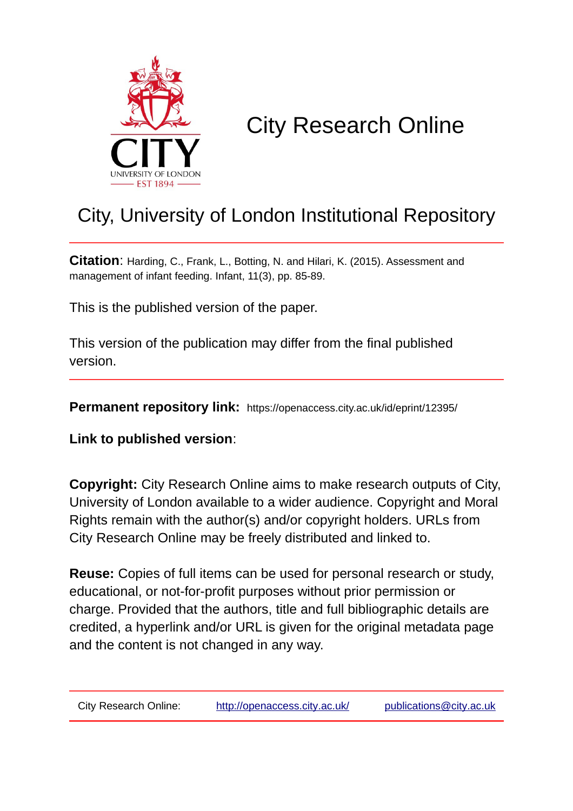

# City Research Online

## City, University of London Institutional Repository

**Citation**: Harding, C., Frank, L., Botting, N. and Hilari, K. (2015). Assessment and management of infant feeding. Infant, 11(3), pp. 85-89.

This is the published version of the paper.

This version of the publication may differ from the final published version.

**Permanent repository link:** https://openaccess.city.ac.uk/id/eprint/12395/

**Link to published version**:

**Copyright:** City Research Online aims to make research outputs of City, University of London available to a wider audience. Copyright and Moral Rights remain with the author(s) and/or copyright holders. URLs from City Research Online may be freely distributed and linked to.

**Reuse:** Copies of full items can be used for personal research or study, educational, or not-for-profit purposes without prior permission or charge. Provided that the authors, title and full bibliographic details are credited, a hyperlink and/or URL is given for the original metadata page and the content is not changed in any way.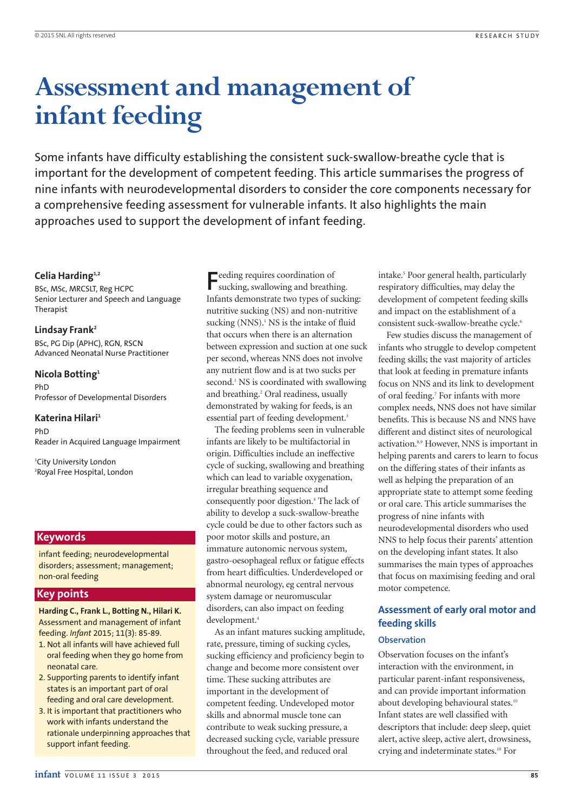# **Assessment and management of infant feeding**

Some infants have difficulty establishing the consistent suck-swallow-breathe cycle that is important for the development of competent feeding. This article summarises the progress of nine infants with neurodevelopmental disorders to consider the core components necessary for a comprehensive feeding assessment for vulnerable infants. It also highlights the main approaches used to support the development of infant feeding.

### **Celia Harding1,2**

BSc, MSc, MRCSLT, Reg HCPC Senior Lecturer and Speech and Language Therapist

#### **Lindsay Frank2**

BSc, PG Dip (APHC), RGN, RSCN Advanced Neonatal Nurse Practitioner

#### **Nicola Botting1**

PhD Professor of Developmental Disorders

#### **Katerina Hilari1**

PhD Reader in Acquired Language Impairment

1 City University London 2 Royal Free Hospital, London

## **Keywords**

infant feeding; neurodevelopmental disorders; assessment; management; non-oral feeding

## **Key points**

**Harding C., Frank L., Botting N., Hilari K.** Assessment and management of infant feeding. *Infant* 2015; 11(3): 85-89.

- 1. Not all infants will have achieved full oral feeding when they go home from neonatal care.
- 2. Supporting parents to identify infant states is an important part of oral feeding and oral care development.
- 3. It is important that practitioners who work with infants understand the rationale underpinning approaches that support infant feeding.

**F**eeding requires coordination of sucking, swallowing and breathing. Infants demonstrate two types of sucking: nutritive sucking (NS) and non-nutritive sucking  $(NNS)$ .<sup>1</sup> NS is the intake of fluid that occurs when there is an alternation between expression and suction at one suck per second, whereas NNS does not involve any nutrient flow and is at two sucks per second.<sup>1</sup> NS is coordinated with swallowing and breathing.<sup>2</sup> Oral readiness, usually demonstrated by waking for feeds, is an essential part of feeding development.<sup>3</sup>

The feeding problems seen in vulnerable infants are likely to be multifactorial in origin. Difficulties include an ineffective cycle of sucking, swallowing and breathing which can lead to variable oxygenation, irregular breathing sequence and consequently poor digestion.4 The lack of ability to develop a suck-swallow-breathe cycle could be due to other factors such as poor motor skills and posture, an immature autonomic nervous system, gastro-oesophageal reflux or fatigue effects from heart difficulties. Underdeveloped or abnormal neurology, eg central nervous system damage or neuromuscular disorders, can also impact on feeding development.<sup>4</sup>

As an infant matures sucking amplitude, rate, pressure, timing of sucking cycles, sucking efficiency and proficiency begin to change and become more consistent over time. These sucking attributes are important in the development of competent feeding. Undeveloped motor skills and abnormal muscle tone can contribute to weak sucking pressure, a decreased sucking cycle, variable pressure throughout the feed, and reduced oral

intake.<sup>5</sup> Poor general health, particularly respiratory difficulties, may delay the development of competent feeding skills and impact on the establishment of a consistent suck-swallow-breathe cycle.<sup>6</sup>

Few studies discuss the management of infants who struggle to develop competent feeding skills; the vast majority of articles that look at feeding in premature infants focus on NNS and its link to development of oral feeding.7 For infants with more complex needs, NNS does not have similar benefits. This is because NS and NNS have different and distinct sites of neurological activation.<sup>8,9</sup> However, NNS is important in helping parents and carers to learn to focus on the differing states of their infants as well as helping the preparation of an appropriate state to attempt some feeding or oral care. This article summarises the progress of nine infants with neurodevelopmental disorders who used NNS to help focus their parents' attention on the developing infant states. It also summarises the main types of approaches that focus on maximising feeding and oral motor competence.

## **Assessment of early oral motor and feeding skills**

### **Observation**

Observation focuses on the infant's interaction with the environment, in particular parent-infant responsiveness, and can provide important information about developing behavioural states.<sup>10</sup> Infant states are well classified with descriptors that include: deep sleep, quiet alert, active sleep, active alert, drowsiness, crying and indeterminate states.10 For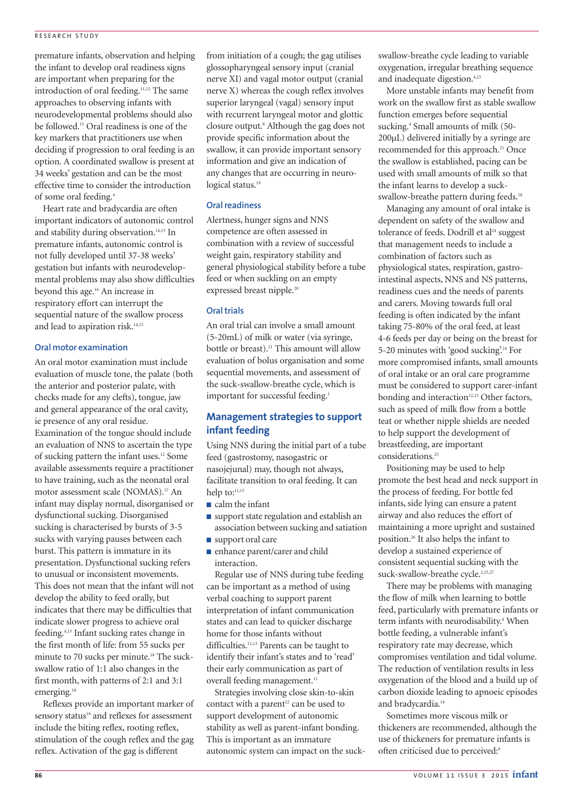### RESEARCH STUDY

premature infants, observation and helping the infant to develop oral readiness signs are important when preparing for the introduction of oral feeding.<sup>11,12</sup> The same approaches to observing infants with neurodevelopmental problems should also be followed.13 Oral readiness is one of the key markers that practitioners use when deciding if progression to oral feeding is an option. A coordinated swallow is present at 34 weeks' gestation and can be the most effective time to consider the introduction of some oral feeding.4

Heart rate and bradycardia are often important indicators of autonomic control and stability during observation.<sup>14,15</sup> In premature infants, autonomic control is not fully developed until 37-38 weeks' gestation but infants with neurodevelopmental problems may also show difficulties beyond this age.16 An increase in respiratory effort can interrupt the sequential nature of the swallow process and lead to aspiration risk.<sup>14,15</sup>

#### **Oral motor examination**

An oral motor examination must include evaluation of muscle tone, the palate (both the anterior and posterior palate, with checks made for any clefts), tongue, jaw and general appearance of the oral cavity, ie presence of any oral residue. Examination of the tongue should include an evaluation of NNS to ascertain the type of sucking pattern the infant uses.12 Some available assessments require a practitioner to have training, such as the neonatal oral motor assessment scale (NOMAS).17 An infant may display normal, disorganised or dysfunctional sucking. Disorganised sucking is characterised by bursts of 3-5 sucks with varying pauses between each burst. This pattern is immature in its presentation. Dysfunctional sucking refers to unusual or inconsistent movements. This does not mean that the infant will not develop the ability to feed orally, but indicates that there may be difficulties that indicate slower progress to achieve oral feeding.4,13 Infant sucking rates change in the first month of life: from 55 sucks per minute to 70 sucks per minute.<sup>18</sup> The suckswallow ratio of 1:1 also changes in the first month, with patterns of 2:1 and 3:1 emerging.<sup>18</sup>

Reflexes provide an important marker of sensory status<sup>19</sup> and reflexes for assessment include the biting reflex, rooting reflex, stimulation of the cough reflex and the gag reflex. Activation of the gag is different

from initiation of a cough; the gag utilises glossopharyngeal sensory input (cranial nerve XI) and vagal motor output (cranial nerve X) whereas the cough reflex involves superior laryngeal (vagal) sensory input with recurrent laryngeal motor and glottic closure output.8 Although the gag does not provide specific information about the swallow, it can provide important sensory information and give an indication of any changes that are occurring in neurological status.<sup>19</sup>

## **Oral readiness**

Alertness, hunger signs and NNS competence are often assessed in combination with a review of successful weight gain, respiratory stability and general physiological stability before a tube feed or when suckling on an empty expressed breast nipple.<sup>20</sup>

## **Oral trials**

An oral trial can involve a small amount (5-20mL) of milk or water (via syringe, bottle or breast).<sup>21</sup> This amount will allow evaluation of bolus organisation and some sequential movements, and assessment of the suck-swallow-breathe cycle, which is important for successful feeding.<sup>1</sup>

## **Management strategies to support infant feeding**

Using NNS during the initial part of a tube feed (gastrostomy, nasogastric or nasojejunal) may, though not always, facilitate transition to oral feeding. It can help to: $11,15$ 

- calm the infant
- support state regulation and establish an association between sucking and satiation
- support oral care
- enhance parent/carer and child interaction.

Regular use of NNS during tube feeding can be important as a method of using verbal coaching to support parent interpretation of infant communication states and can lead to quicker discharge home for those infants without difficulties.<sup>11,13</sup> Parents can be taught to identify their infant's states and to 'read' their early communication as part of overall feeding management.<sup>11</sup>

Strategies involving close skin-to-skin contact with a parent<sup>22</sup> can be used to support development of autonomic stability as well as parent-infant bonding. This is important as an immature autonomic system can impact on the suckswallow-breathe cycle leading to variable oxygenation, irregular breathing sequence and inadequate digestion.<sup>4,23</sup>

More unstable infants may benefit from work on the swallow first as stable swallow function emerges before sequential sucking.<sup>4</sup> Small amounts of milk (50-200µL) delivered initially by a syringe are recommended for this approach.<sup>21</sup> Once the swallow is established, pacing can be used with small amounts of milk so that the infant learns to develop a suckswallow-breathe pattern during feeds.<sup>18</sup>

Managing any amount of oral intake is dependent on safety of the swallow and tolerance of feeds. Dodrill et al $^{24}$  suggest that management needs to include a combination of factors such as physiological states, respiration, gastrointestinal aspects, NNS and NS patterns, readiness cues and the needs of parents and carers. Moving towards full oral feeding is often indicated by the infant taking 75-80% of the oral feed, at least 4-6 feeds per day or being on the breast for 5-20 minutes with 'good sucking'.<sup>24</sup> For more compromised infants, small amounts of oral intake or an oral care programme must be considered to support carer-infant bonding and interaction<sup>12,13</sup> Other factors, such as speed of milk flow from a bottle teat or whether nipple shields are needed to help support the development of breastfeeding, are important considerations.<sup>25</sup>

Positioning may be used to help promote the best head and neck support in the process of feeding. For bottle fed infants, side lying can ensure a patent airway and also reduces the effort of maintaining a more upright and sustained position.26 It also helps the infant to develop a sustained experience of consistent sequential sucking with the suck-swallow-breathe cycle.<sup>2,15,27</sup>

There may be problems with managing the flow of milk when learning to bottle feed, particularly with premature infants or term infants with neurodisability.<sup>4</sup> When bottle feeding, a vulnerable infant's respiratory rate may decrease, which compromises ventilation and tidal volume. The reduction of ventilation results in less oxygenation of the blood and a build up of carbon dioxide leading to apnoeic episodes and bradycardia.<sup>14</sup>

Sometimes more viscous milk or thickeners are recommended, although the use of thickeners for premature infants is often criticised due to perceived:9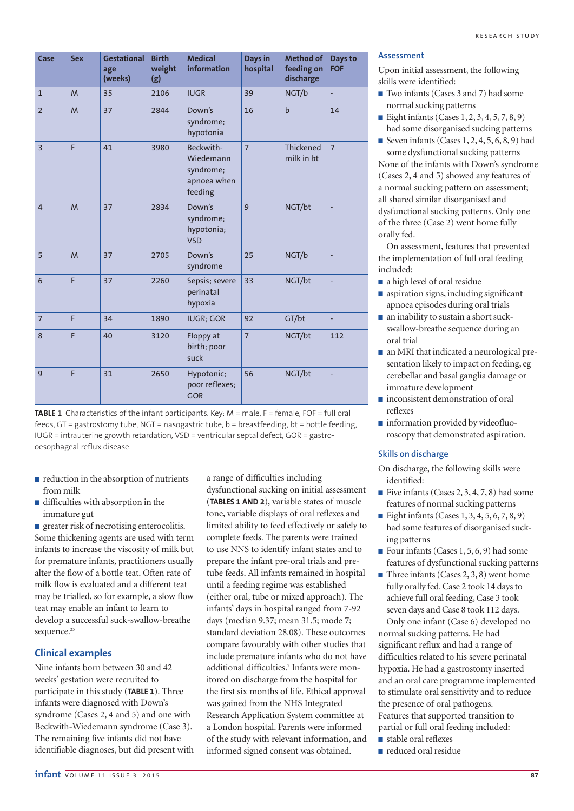| Case           | <b>Sex</b> | <b>Gestational</b><br>age<br>(weeks) | <b>Birth</b><br>weight<br>(g) | <b>Medical</b><br>information                                 | Days in<br>hospital | Method of<br>feeding on<br>discharge | Days to<br><b>FOF</b>    |
|----------------|------------|--------------------------------------|-------------------------------|---------------------------------------------------------------|---------------------|--------------------------------------|--------------------------|
| $\mathbf{1}$   | M          | 35                                   | 2106                          | <b>IUGR</b>                                                   | 39                  | NGT/b                                | L,                       |
| $\overline{2}$ | M          | 37                                   | 2844                          | Down's<br>syndrome;<br>hypotonia                              | 16                  | $\mathbf b$                          | 14                       |
| $\overline{3}$ | F          | 41                                   | 3980                          | Beckwith-<br>Wiedemann<br>syndrome;<br>apnoea when<br>feeding | $\overline{7}$      | Thickened<br>milk in bt              | $\overline{7}$           |
| $\overline{4}$ | M          | 37                                   | 2834                          | Down's<br>syndrome;<br>hypotonia;<br><b>VSD</b>               | $\mathbf{q}$        | NGT/bt                               | $\overline{a}$           |
| 5              | M          | 37                                   | 2705                          | Down's<br>syndrome                                            | 25                  | NGT/b                                | ÷,                       |
| 6              | F          | 37                                   | 2260                          | Sepsis; severe<br>perinatal<br>hypoxia                        | 33                  | NGT/bt                               | ÷,                       |
| $\overline{7}$ | F          | 34                                   | 1890                          | <b>IUGR; GOR</b>                                              | 92                  | GT/bt                                | ÷,                       |
| 8              | F          | 40                                   | 3120                          | Floppy at<br>birth; poor<br>suck                              | $\overline{7}$      | NGT/bt                               | 112                      |
| 9              | F          | 31                                   | 2650                          | Hypotonic;<br>poor reflexes;<br><b>GOR</b>                    | 56                  | NGT/bt                               | $\overline{\phantom{a}}$ |



- reduction in the absorption of nutrients from milk
- difficulties with absorption in the immature gut

■ greater risk of necrotising enterocolitis. Some thickening agents are used with term infants to increase the viscosity of milk but for premature infants, practitioners usually alter the flow of a bottle teat. Often rate of milk flow is evaluated and a different teat may be trialled, so for example, a slow flow teat may enable an infant to learn to develop a successful suck-swallow-breathe sequence.<sup>25</sup>

## **Clinical examples**

Nine infants born between 30 and 42 weeks' gestation were recruited to participate in this study (**TABLE 1**). Three infants were diagnosed with Down's syndrome (Cases 2, 4 and 5) and one with Beckwith-Wiedemann syndrome (Case 3). The remaining five infants did not have identifiable diagnoses, but did present with a range of difficulties including dysfunctional sucking on initial assessment (**TABLES 1 AND 2**), variable states of muscle tone, variable displays of oral reflexes and limited ability to feed effectively or safely to complete feeds. The parents were trained to use NNS to identify infant states and to prepare the infant pre-oral trials and pretube feeds. All infants remained in hospital until a feeding regime was established (either oral, tube or mixed approach). The infants' days in hospital ranged from 7-92 days (median 9.37; mean 31.5; mode 7; standard deviation 28.08). These outcomes compare favourably with other studies that include premature infants who do not have additional difficulties.<sup>7</sup> Infants were monitored on discharge from the hospital for the first six months of life. Ethical approval was gained from the NHS Integrated Research Application System committee at a London hospital. Parents were informed of the study with relevant information, and informed signed consent was obtained.

## **Assessment**

Upon initial assessment, the following skills were identified:

- Two infants (Cases 3 and 7) had some normal sucking patterns
- Eight infants (Cases  $1, 2, 3, 4, 5, 7, 8, 9$ ) had some disorganised sucking patterns
- Seven infants (Cases 1, 2, 4, 5, 6, 8, 9) had some dysfunctional sucking patterns

None of the infants with Down's syndrome (Cases 2, 4 and 5) showed any features of a normal sucking pattern on assessment; all shared similar disorganised and dysfunctional sucking patterns. Only one of the three (Case 2) went home fully orally fed.

On assessment, features that prevented the implementation of full oral feeding included:

- a high level of oral residue
- aspiration signs, including significant apnoea episodes during oral trials
- an inability to sustain a short suckswallow-breathe sequence during an oral trial
- an MRI that indicated a neurological presentation likely to impact on feeding, eg cerebellar and basal ganglia damage or immature development
- inconsistent demonstration of oral reflexes
- information provided by videofluoroscopy that demonstrated aspiration.

## **Skills on discharge**

- On discharge, the following skills were identified:
- $\blacksquare$  Five infants (Cases 2, 3, 4, 7, 8) had some features of normal sucking patterns
- Eight infants (Cases 1, 3, 4, 5, 6, 7, 8, 9) had some features of disorganised sucking patterns
- Four infants (Cases 1, 5, 6, 9) had some features of dysfunctional sucking patterns
- Three infants (Cases 2, 3, 8) went home fully orally fed. Case 2 took 14 days to achieve full oral feeding, Case 3 took seven days and Case 8 took 112 days. Only one infant (Case 6) developed no

normal sucking patterns. He had significant reflux and had a range of difficulties related to his severe perinatal hypoxia. He had a gastrostomy inserted and an oral care programme implemented to stimulate oral sensitivity and to reduce the presence of oral pathogens. Features that supported transition to partial or full oral feeding included:

- stable oral reflexes
- reduced oral residue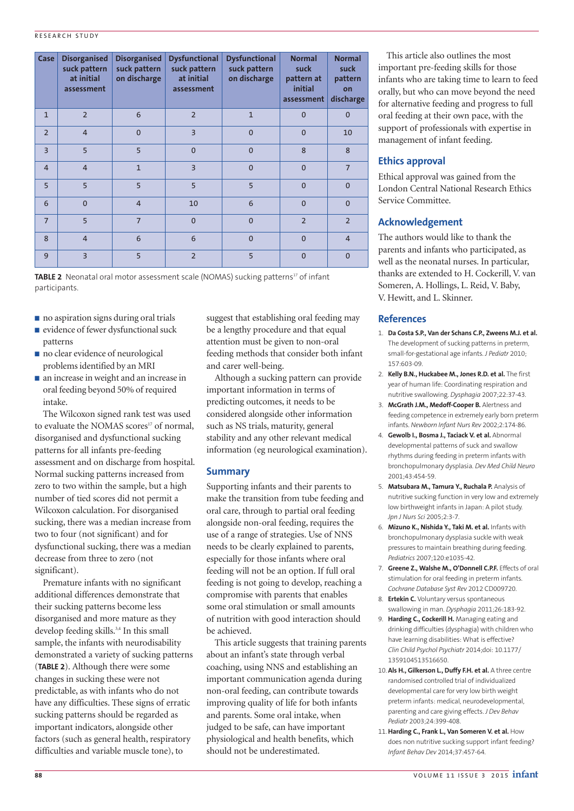### RESEARCH STUDY

| Case           | <b>Disorganised</b><br>suck pattern<br>at initial<br>assessment | <b>Disorganised</b><br>suck pattern<br>on discharge | <b>Dysfunctional</b><br>suck pattern<br>at initial<br>assessment | <b>Dysfunctional</b><br>suck pattern<br>on discharge | <b>Normal</b><br>suck<br>pattern at<br>initial<br>assessment | <b>Normal</b><br>suck<br>pattern<br>on<br>discharge |
|----------------|-----------------------------------------------------------------|-----------------------------------------------------|------------------------------------------------------------------|------------------------------------------------------|--------------------------------------------------------------|-----------------------------------------------------|
| $\mathbf{1}$   | $\overline{2}$                                                  | 6                                                   | $\overline{2}$                                                   | $\mathbf{1}$                                         | $\mathbf{0}$                                                 | $\mathbf{0}$                                        |
| $\overline{2}$ | $\overline{4}$                                                  | $\Omega$                                            | $\overline{3}$                                                   | $\Omega$                                             | $\mathbf{0}$                                                 | 10                                                  |
| $\overline{3}$ | 5                                                               | 5                                                   | $\Omega$                                                         | $\overline{0}$                                       | 8                                                            | 8                                                   |
| $\overline{4}$ | $\overline{4}$                                                  | $\mathbf{1}$                                        | $\overline{3}$                                                   | $\overline{0}$                                       | $\mathbf{0}$                                                 | $\overline{7}$                                      |
| 5              | 5                                                               | 5                                                   | 5                                                                | 5                                                    | $\mathbf{0}$                                                 | $\mathbf{0}$                                        |
| 6              | $\Omega$                                                        | $\overline{4}$                                      | 10                                                               | 6                                                    | $\mathbf{0}$                                                 | $\overline{0}$                                      |
| $\overline{7}$ | 5                                                               | $\overline{7}$                                      | $\Omega$                                                         | $\Omega$                                             | $\overline{2}$                                               | $\overline{2}$                                      |
| 8              | $\overline{4}$                                                  | 6                                                   | 6                                                                | $\mathbf{0}$                                         | $\overline{0}$                                               | $\overline{4}$                                      |
| 9              | $\overline{3}$                                                  | 5                                                   | $\overline{2}$                                                   | 5                                                    | $\mathbf{0}$                                                 | $\mathbf{0}$                                        |

**TABLE 2** Neonatal oral motor assessment scale (NOMAS) sucking patterns<sup>17</sup> of infant participants.

- no aspiration signs during oral trials
- evidence of fewer dysfunctional suck patterns
- no clear evidence of neurological problems identified by an MRI
- an increase in weight and an increase in oral feeding beyond 50% of required intake.

The Wilcoxon signed rank test was used to evaluate the NOMAS scores<sup>17</sup> of normal, disorganised and dysfunctional sucking patterns for all infants pre-feeding assessment and on discharge from hospital. Normal sucking patterns increased from zero to two within the sample, but a high number of tied scores did not permit a Wilcoxon calculation. For disorganised sucking, there was a median increase from two to four (not significant) and for dysfunctional sucking, there was a median decrease from three to zero (not significant).

Premature infants with no significant additional differences demonstrate that their sucking patterns become less disorganised and more mature as they develop feeding skills.<sup>3,4</sup> In this small sample, the infants with neurodisability demonstrated a variety of sucking patterns (**TABLE 2**). Although there were some changes in sucking these were not predictable, as with infants who do not have any difficulties. These signs of erratic sucking patterns should be regarded as important indicators, alongside other factors (such as general health, respiratory difficulties and variable muscle tone), to

suggest that establishing oral feeding may be a lengthy procedure and that equal attention must be given to non-oral feeding methods that consider both infant and carer well-being.

Although a sucking pattern can provide important information in terms of predicting outcomes, it needs to be considered alongside other information such as NS trials, maturity, general stability and any other relevant medical information (eg neurological examination).

## **Summary**

Supporting infants and their parents to make the transition from tube feeding and oral care, through to partial oral feeding alongside non-oral feeding, requires the use of a range of strategies. Use of NNS needs to be clearly explained to parents, especially for those infants where oral feeding will not be an option. If full oral feeding is not going to develop, reaching a compromise with parents that enables some oral stimulation or small amounts of nutrition with good interaction should be achieved.

This article suggests that training parents about an infant's state through verbal coaching, using NNS and establishing an important communication agenda during non-oral feeding, can contribute towards improving quality of life for both infants and parents. Some oral intake, when judged to be safe, can have important physiological and health benefits, which should not be underestimated.

This article also outlines the most important pre-feeding skills for those infants who are taking time to learn to feed orally, but who can move beyond the need for alternative feeding and progress to full oral feeding at their own pace, with the support of professionals with expertise in management of infant feeding.

## **Ethics approval**

Ethical approval was gained from the London Central National Research Ethics Service Committee.

## **Acknowledgement**

The authors would like to thank the parents and infants who participated, as well as the neonatal nurses. In particular, thanks are extended to H. Cockerill, V. van Someren, A. Hollings, L. Reid, V. Baby, V. Hewitt, and L. Skinner.

## **References**

- 1. **Da Costa S.P., Van der Schans C.P., Zweens M.J. et al.** The development of sucking patterns in preterm, small-for-gestational age infants. *J Pediatr* 2010; 157:603-09.
- 2. **Kelly B.N., Huckabee M., Jones R.D. et al.** The first year of human life: Coordinating respiration and nutritive swallowing. *Dysphagia* 2007;22:37-43.
- 3. **McGrath J.M., Medoff-Cooper B.** Alertness and feeding competence in extremely early born preterm infants. *Newborn Infant Nurs Rev* 2002;2:174-86.
- 4. **Gewolb I., Bosma J., Taciack V. et al.** Abnormal developmental patterns of suck and swallow rhythms during feeding in preterm infants with bronchopulmonary dysplasia. *Dev Med Child Neuro* 2001;43:454-59.
- 5. **Matsubara M., Tamura Y., Ruchala P.** Analysis of nutritive sucking function in very low and extremely low birthweight infants in Japan: A pilot study. *Jpn J Nurs Sci* 2005;2:3-7.
- 6. **Mizuno K., Nishida Y., Taki M. et al.** Infants with bronchopulmonary dysplasia suckle with weak pressures to maintain breathing during feeding. *Pediatrics* 2007;120:e1035-42.
- 7. **Greene Z., Walshe M., O'Donnell C.P.F.** Effects of oral stimulation for oral feeding in preterm infants. *Cochrane Database Syst Rev* 2012 CD009720.
- 8. **Ertekin C.** Voluntary versus spontaneous swallowing in man. *Dysphagia* 2011;26:183-92.
- 9. **Harding C., Cockerill H.** Managing eating and drinking difficulties (dysphagia) with children who have learning disabilities: What is effective? *Clin Child Psychol Psychiatr* 2014;doi: 10.1177/ 1359104513516650.
- 10.**Als H., Gilkerson L., Duffy F.H. et al.** A three centre randomised controlled trial of individualized developmental care for very low birth weight preterm infants: medical, neurodevelopmental, parenting and care giving effects. *J Dev Behav Pediatr* 2003;24:399-408.
- 11.**Harding C., Frank L., Van Someren V. et al.** How does non nutritive sucking support infant feeding? *Infant Behav Dev* 2014;37:457-64.